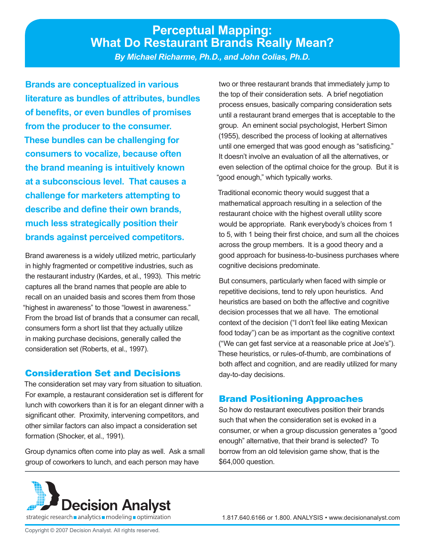# **Perceptual Mapping: What Do Restaurant Brands Really Mean?**

*By Michael Richarme, Ph.D., and John Colias, Ph.D.*

**Brands are conceptualized in various literature as bundles of attributes, bundles of benefits, or even bundles of promises from the producer to the consumer. These bundles can be challenging for consumers to vocalize, because often the brand meaning is intuitively known at a subconscious level. That causes a challenge for marketers attempting to describe and define their own brands, much less strategically position their brands against perceived competitors.** 

Brand awareness is a widely utilized metric, particularly in highly fragmented or competitive industries, such as the restaurant industry (Kardes, et al., 1993). This metric captures all the brand names that people are able to recall on an unaided basis and scores them from those "highest in awareness" to those "lowest in awareness." From the broad list of brands that a consumer can recall, consumers form a short list that they actually utilize in making purchase decisions, generally called the consideration set (Roberts, et al., 1997).

# Consideration Set and Decisions

The consideration set may vary from situation to situation. For example, a restaurant consideration set is different for lunch with coworkers than it is for an elegant dinner with a significant other. Proximity, intervening competitors, and other similar factors can also impact a consideration set formation (Shocker, et al., 1991).

Group dynamics often come into play as well. Ask a small group of coworkers to lunch, and each person may have

two or three restaurant brands that immediately jump to the top of their consideration sets. A brief negotiation process ensues, basically comparing consideration sets until a restaurant brand emerges that is acceptable to the group. An eminent social psychologist, Herbert Simon (1955), described the process of looking at alternatives until one emerged that was good enough as "satisficing." It doesn't involve an evaluation of all the alternatives, or even selection of the optimal choice for the group. But it is "good enough," which typically works.

Traditional economic theory would suggest that a mathematical approach resulting in a selection of the restaurant choice with the highest overall utility score would be appropriate. Rank everybody's choices from 1 to 5, with 1 being their first choice, and sum all the choices across the group members. It is a good theory and a good approach for business-to-business purchases where cognitive decisions predominate.

But consumers, particularly when faced with simple or repetitive decisions, tend to rely upon heuristics. And heuristics are based on both the affective and cognitive decision processes that we all have. The emotional context of the decision ("I don't feel like eating Mexican food today") can be as important as the cognitive context ("We can get fast service at a reasonable price at Joe's"). These heuristics, or rules-of-thumb, are combinations of both affect and cognition, and are readily utilized for many day-to-day decisions.

# Brand Positioning Approaches

So how do restaurant executives position their brands such that when the consideration set is evoked in a consumer, or when a group discussion generates a "good enough" alternative, that their brand is selected? To borrow from an old television game show, that is the \$64,000 question.

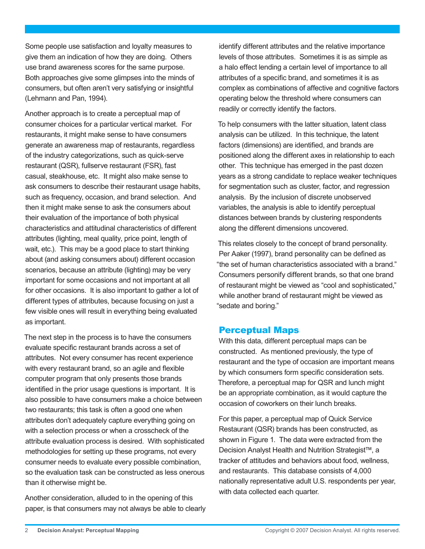Some people use satisfaction and loyalty measures to give them an indication of how they are doing. Others use brand awareness scores for the same purpose. Both approaches give some glimpses into the minds of consumers, but often aren't very satisfying or insightful (Lehmann and Pan, 1994).

Another approach is to create a perceptual map of consumer choices for a particular vertical market. For restaurants, it might make sense to have consumers generate an awareness map of restaurants, regardless of the industry categorizations, such as quick-serve restaurant (QSR), fullserve restaurant (FSR), fast casual, steakhouse, etc. It might also make sense to ask consumers to describe their restaurant usage habits, such as frequency, occasion, and brand selection. And then it might make sense to ask the consumers about their evaluation of the importance of both physical characteristics and attitudinal characteristics of different attributes (lighting, meal quality, price point, length of wait, etc.). This may be a good place to start thinking about (and asking consumers about) different occasion scenarios, because an attribute (lighting) may be very important for some occasions and not important at all for other occasions. It is also important to gather a lot of different types of attributes, because focusing on just a few visible ones will result in everything being evaluated as important.

The next step in the process is to have the consumers evaluate specific restaurant brands across a set of attributes. Not every consumer has recent experience with every restaurant brand, so an agile and flexible computer program that only presents those brands identified in the prior usage questions is important. It is also possible to have consumers make a choice between two restaurants; this task is often a good one when attributes don't adequately capture everything going on with a selection process or when a crosscheck of the attribute evaluation process is desired. With sophisticated methodologies for setting up these programs, not every consumer needs to evaluate every possible combination, so the evaluation task can be constructed as less onerous than it otherwise might be.

Another consideration, alluded to in the opening of this paper, is that consumers may not always be able to clearly

identify different attributes and the relative importance levels of those attributes. Sometimes it is as simple as a halo effect lending a certain level of importance to all attributes of a specific brand, and sometimes it is as complex as combinations of affective and cognitive factors operating below the threshold where consumers can readily or correctly identify the factors.

To help consumers with the latter situation, latent class analysis can be utilized. In this technique, the latent factors (dimensions) are identified, and brands are positioned along the different axes in relationship to each other. This technique has emerged in the past dozen years as a strong candidate to replace weaker techniques for segmentation such as cluster, factor, and regression analysis. By the inclusion of discrete unobserved variables, the analysis is able to identify perceptual distances between brands by clustering respondents along the different dimensions uncovered.

This relates closely to the concept of brand personality. Per Aaker (1997), brand personality can be defined as "the set of human characteristics associated with a brand." Consumers personify different brands, so that one brand of restaurant might be viewed as "cool and sophisticated," while another brand of restaurant might be viewed as "sedate and boring."

#### Perceptual Maps

With this data, different perceptual maps can be constructed. As mentioned previously, the type of restaurant and the type of occasion are important means by which consumers form specific consideration sets. Therefore, a perceptual map for QSR and lunch might be an appropriate combination, as it would capture the occasion of coworkers on their lunch breaks.

For this paper, a perceptual map of Quick Service Restaurant (QSR) brands has been constructed, as shown in Figure 1. The data were extracted from the Decision Analyst Health and Nutrition Strategist™, a tracker of attitudes and behaviors about food, wellness, and restaurants. This database consists of 4,000 nationally representative adult U.S. respondents per year, with data collected each quarter.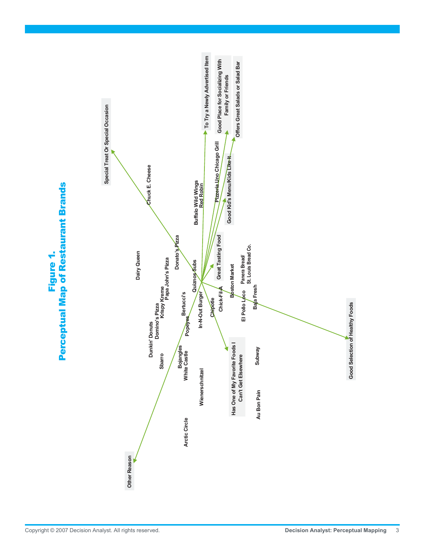